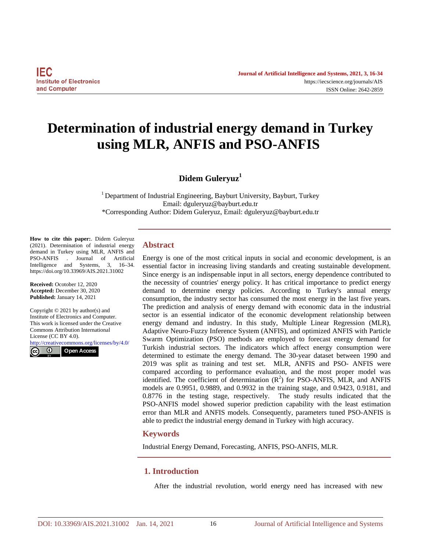# **Determination of industrial energy demand in Turkey using MLR, ANFIS and PSO-ANFIS**

**Didem Guleryuz1**

<sup>1</sup> Department of Industrial Engineering, Bayburt University, Bayburt, Turkey Email: dguleryuz@bayburt.edu.tr \*Corresponding Author: Didem Guleryuz, Email: dguleryuz@bayburt.edu.tr

**How to cite this paper:**. Didem Guleryuz (2021). Determination of industrial energy demand in Turkey using MLR, ANFIS and PSO-ANFIS . Journal of Artificial Intelligence and Systems, 3, 16–34. https://doi.org/10.33969/AIS.2021.31002

**Received:** Ocotober 12, 2020 **Accepted:** December 30, 2020 **Published:** January 14, 2021

Copyright © 2021 by author(s) and Institute of Electronics and Computer. This work is licensed under the Creative Commons Attribution International License (CC BY 4.0).

<http://creativecommons.org/licenses/by/4.0/>  $\odot$ **Open Access**

# **Abstract**

Energy is one of the most critical inputs in social and economic development, is an essential factor in increasing living standards and creating sustainable development. Since energy is an indispensable input in all sectors, energy dependence contributed to the necessity of countries' energy policy. It has critical importance to predict energy demand to determine energy policies. According to Turkey's annual energy consumption, the industry sector has consumed the most energy in the last five years. The prediction and analysis of energy demand with economic data in the industrial sector is an essential indicator of the economic development relationship between energy demand and industry. In this study, Multiple Linear Regression (MLR), Adaptive Neuro-Fuzzy Inference System (ANFIS), and optimized ANFIS with Particle Swarm Optimization (PSO) methods are employed to forecast energy demand for Turkish industrial sectors. The indicators which affect energy consumption were determined to estimate the energy demand. The 30-year dataset between 1990 and 2019 was split as training and test set. MLR, ANFIS and PSO- ANFIS were compared according to performance evaluation, and the most proper model was identified. The coefficient of determination  $(R^2)$  for PSO-ANFIS, MLR, and ANFIS models are 0.9951, 0.9889, and 0.9932 in the training stage, and 0.9423, 0.9181, and 0.8776 in the testing stage, respectively. The study results indicated that the PSO-ANFIS model showed superior prediction capability with the least estimation error than MLR and ANFIS models. Consequently, parameters tuned PSO-ANFIS is able to predict the industrial energy demand in Turkey with high accuracy.

# **Keywords**

Industrial Energy Demand, Forecasting, ANFIS, PSO-ANFIS, MLR.

# **1. Introduction**

After the industrial revolution, world energy need has increased with new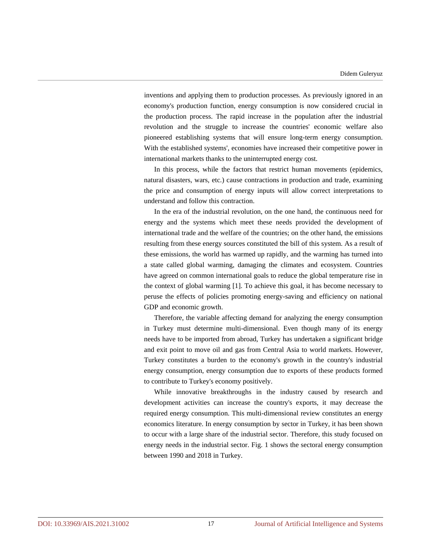inventions and applying them to production processes. As previously ignored in an economy's production function, energy consumption is now considered crucial in the production process. The rapid increase in the population after the industrial revolution and the struggle to increase the countries' economic welfare also pioneered establishing systems that will ensure long-term energy consumption. With the established systems', economies have increased their competitive power in international markets thanks to the uninterrupted energy cost.

In this process, while the factors that restrict human movements (epidemics, natural disasters, wars, etc.) cause contractions in production and trade, examining the price and consumption of energy inputs will allow correct interpretations to understand and follow this contraction.

In the era of the industrial revolution, on the one hand, the continuous need for energy and the systems which meet these needs provided the development of international trade and the welfare of the countries; on the other hand, the emissions resulting from these energy sources constituted the bill of this system. As a result of these emissions, the world has warmed up rapidly, and the warming has turned into a state called global warming, damaging the climates and ecosystem. Countries have agreed on common international goals to reduce the global temperature rise in the context of global warming [1]. To achieve this goal, it has become necessary to peruse the effects of policies promoting energy-saving and efficiency on national GDP and economic growth.

Therefore, the variable affecting demand for analyzing the energy consumption in Turkey must determine multi-dimensional. Even though many of its energy needs have to be imported from abroad, Turkey has undertaken a significant bridge and exit point to move oil and gas from Central Asia to world markets. However, Turkey constitutes a burden to the economy's growth in the country's industrial energy consumption, energy consumption due to exports of these products formed to contribute to Turkey's economy positively.

While innovative breakthroughs in the industry caused by research and development activities can increase the country's exports, it may decrease the required energy consumption. This multi-dimensional review constitutes an energy economics literature. In energy consumption by sector in Turkey, it has been shown to occur with a large share of the industrial sector. Therefore, this study focused on energy needs in the industrial sector. Fig. 1 shows the sectoral energy consumption between 1990 and 2018 in Turkey.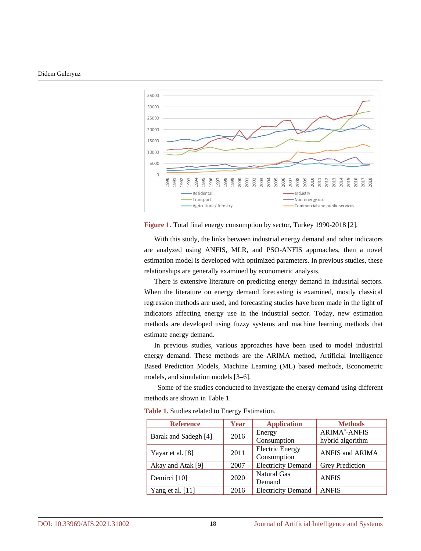

**Figure 1.** Total final energy consumption by sector, Turkey 1990-2018 [2].

With this study, the links between industrial energy demand and other indicators are analyzed using ANFIS, MLR, and PSO-ANFIS approaches, then a novel estimation model is developed with optimized parameters. In previous studies, these relationships are generally examined by econometric analysis.

There is extensive literature on predicting energy demand in industrial sectors. When the literature on energy demand forecasting is examined, mostly classical regression methods are used, and forecasting studies have been made in the light of indicators affecting energy use in the industrial sector. Today, new estimation methods are developed using fuzzy systems and machine learning methods that estimate energy demand.

In previous studies, various approaches have been used to model industrial energy demand. These methods are the ARIMA method, Artificial Intelligence Based Prediction Models, Machine Learning (ML) based methods, Econometric models, and simulation models [3–6].

Some of the studies conducted to investigate the energy demand using different methods are shown in Table 1.

| <b>Reference</b>     | Year | <b>Application</b>        | <b>Methods</b>            |  |
|----------------------|------|---------------------------|---------------------------|--|
|                      | 2016 | Energy                    | ARIMA <sup>a</sup> -ANFIS |  |
| Barak and Sadegh [4] |      | Consumption               | hybrid algorithm          |  |
|                      | 2011 | <b>Electric Energy</b>    | ANFIS and ARIMA           |  |
| Yayar et al. [8]     |      | Consumption               |                           |  |
| Akay and Atak [9]    | 2007 | <b>Electricity Demand</b> | <b>Grey Prediction</b>    |  |
| Demirci [10]         | 2020 | <b>Natural Gas</b>        | <b>ANFIS</b>              |  |
|                      |      | Demand                    |                           |  |
| Yang et al. [11]     | 2016 | <b>Electricity Demand</b> | <b>ANFIS</b>              |  |
|                      |      |                           |                           |  |

**Table 1.** Studies related to Energy Estimation.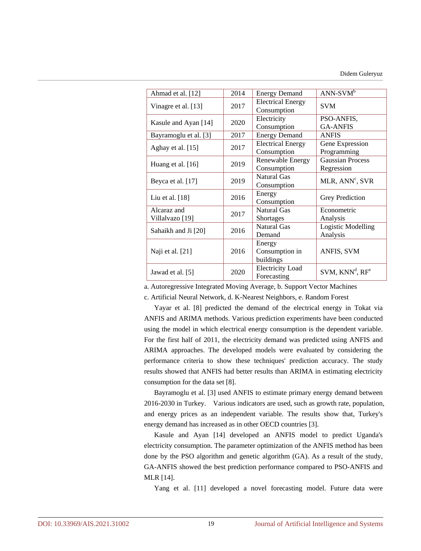Didem Guleryuz

| Ahmad et al. [12]     | 2014 | <b>Energy Demand</b>     | $ANN-SVMb$                  |  |
|-----------------------|------|--------------------------|-----------------------------|--|
| Vinagre et al. [13]   | 2017 | <b>Electrical Energy</b> | <b>SVM</b>                  |  |
|                       |      | Consumption              |                             |  |
|                       |      | Electricity              | PSO-ANFIS,                  |  |
| Kasule and Ayan [14]  | 2020 | Consumption              | <b>GA-ANFIS</b>             |  |
| Bayramoglu et al. [3] | 2017 | <b>Energy Demand</b>     | <b>ANFIS</b>                |  |
|                       |      | <b>Electrical Energy</b> | Gene Expression             |  |
| Aghay et al. [15]     | 2017 | Consumption              | Programming                 |  |
|                       |      | Renewable Energy         | <b>Gaussian Process</b>     |  |
| Huang et al. [16]     | 2019 | Consumption              | Regression                  |  |
|                       | 2019 | <b>Natural Gas</b>       |                             |  |
| Beyca et al. [17]     |      | Consumption              | MLR, ANN <sup>c</sup> , SVR |  |
|                       | 2016 | Energy                   |                             |  |
| Liu et al. $[18]$     |      | Consumption              | Grey Prediction             |  |
| Alcaraz and           | 2017 | <b>Natural Gas</b>       | Econometric                 |  |
| Villalvazo [19]       |      | Shortages                | Analysis                    |  |
|                       | 2016 | <b>Natural Gas</b>       | <b>Logistic Modelling</b>   |  |
| Sahaikh and Ji [20]   |      | Demand                   | Analysis                    |  |
|                       |      | Energy                   |                             |  |
| Naji et al. [21]      | 2016 | Consumption in           | ANFIS, SVM                  |  |
|                       |      | buildings                |                             |  |
|                       | 2020 | <b>Electricity Load</b>  | $SVM$ , $KNNd$ , $RFe$      |  |
| Jawad et al. [5]      |      | Forecasting              |                             |  |

a. Autoregressive Integrated Moving Average, b. Support Vector Machines

c. Artificial Neural Network, d. K-Nearest Neighbors, e. Random Forest

Yayar et al. [8] predicted the demand of the electrical energy in Tokat via ANFIS and ARIMA methods. Various prediction experiments have been conducted using the model in which electrical energy consumption is the dependent variable. For the first half of 2011, the electricity demand was predicted using ANFIS and ARIMA approaches. The developed models were evaluated by considering the performance criteria to show these techniques' prediction accuracy. The study results showed that ANFIS had better results than ARIMA in estimating electricity consumption for the data set [8].

Bayramoglu et al. [3] used ANFIS to estimate primary energy demand between 2016-2030 in Turkey. Various indicators are used, such as growth rate, population, and energy prices as an independent variable. The results show that, Turkey's energy demand has increased as in other OECD countries [3].

Kasule and Ayan [14] developed an ANFIS model to predict Uganda's electricity consumption. The parameter optimization of the ANFIS method has been done by the PSO algorithm and genetic algorithm (GA). As a result of the study, GA-ANFIS showed the best prediction performance compared to PSO-ANFIS and MLR [14].

Yang et al. [11] developed a novel forecasting model. Future data were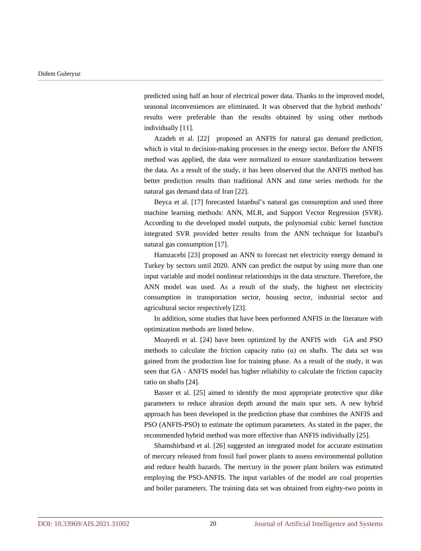predicted using half an hour of electrical power data. Thanks to the improved model, seasonal inconveniences are eliminated. It was observed that the hybrid methods' results were preferable than the results obtained by using other methods individually [11].

Azadeh et al. [22] proposed an ANFIS for natural gas demand prediction, which is vital to decision-making processes in the energy sector. Before the ANFIS method was applied, the data were normalized to ensure standardization between the data. As a result of the study, it has been observed that the ANFIS method has better prediction results than traditional ANN and time series methods for the natural gas demand data of Iran [22].

Beyca et al. [17] forecasted Istanbul's natural gas consumption and used three machine learning methods: ANN, MLR, and Support Vector Regression (SVR). According to the developed model outputs, the polynomial cubic kernel function integrated SVR provided better results from the ANN technique for Istanbul's natural gas consumption [17].

Hamzacebi [23] proposed an ANN to forecast net electricity energy demand in Turkey by sectors until 2020. ANN can predict the output by using more than one input variable and model nonlinear relationships in the data structure. Therefore, the ANN model was used. As a result of the study, the highest net electricity consumption in transportation sector, housing sector, industrial sector and agricultural sector respectively [23].

In addition, some studies that have been performed ANFIS in the literature with optimization methods are listed below.

Moayedi et al. [24] have been optimized by the ANFIS with GA and PSO methods to calculate the friction capacity ratio  $(\alpha)$  on shafts. The data set was gained from the production line for training phase. As a result of the study, it was seen that GA - ANFIS model has higher reliability to calculate the friction capacity ratio on shafts [24].

Basser et al. [25] aimed to identify the most appropriate protective spur dike parameters to reduce abrasion depth around the main spur sets. A new hybrid approach has been developed in the prediction phase that combines the ANFIS and PSO (ANFIS-PSO) to estimate the optimum parameters. As stated in the paper, the recommended hybrid method was more effective than ANFIS individually [25].

Shamshirband et al. [26] suggested an integrated model for accurate estimation of mercury released from fossil fuel power plants to assess environmental pollution and reduce health hazards. The mercury in the power plant boilers was estimated employing the PSO-ANFIS. The input variables of the model are coal properties and boiler parameters. The training data set was obtained from eighty-two points in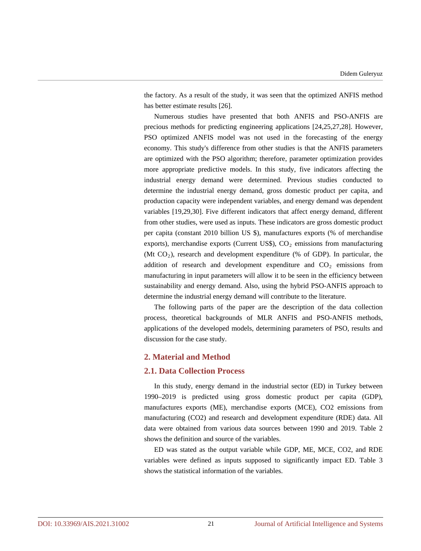the factory. As a result of the study, it was seen that the optimized ANFIS method has better estimate results [26].

Numerous studies have presented that both ANFIS and PSO-ANFIS are precious methods for predicting engineering applications [24,25,27,28]. However, PSO optimized ANFIS model was not used in the forecasting of the energy economy. This study's difference from other studies is that the ANFIS parameters are optimized with the PSO algorithm; therefore, parameter optimization provides more appropriate predictive models. In this study, five indicators affecting the industrial energy demand were determined. Previous studies conducted to determine the industrial energy demand, gross domestic product per capita, and production capacity were independent variables, and energy demand was dependent variables [19,29,30]. Five different indicators that affect energy demand, different from other studies, were used as inputs. These indicators are gross domestic product per capita (constant 2010 billion US \$), manufactures exports (% of merchandise exports), merchandise exports (Current US\$),  $CO<sub>2</sub>$  emissions from manufacturing (Mt  $CO<sub>2</sub>$ ), research and development expenditure (% of GDP). In particular, the addition of research and development expenditure and  $CO<sub>2</sub>$  emissions from manufacturing in input parameters will allow it to be seen in the efficiency between sustainability and energy demand. Also, using the hybrid PSO-ANFIS approach to determine the industrial energy demand will contribute to the literature.

The following parts of the paper are the description of the data collection process, theoretical backgrounds of MLR ANFIS and PSO-ANFIS methods, applications of the developed models, determining parameters of PSO, results and discussion for the case study.

## **2. Material and Method**

#### **2.1. Data Collection Process**

In this study, energy demand in the industrial sector (ED) in Turkey between 1990–2019 is predicted using gross domestic product per capita (GDP), manufactures exports (ME), merchandise exports (MCE), CO2 emissions from manufacturing (CO2) and research and development expenditure (RDE) data. All data were obtained from various data sources between 1990 and 2019. Table 2 shows the definition and source of the variables.

ED was stated as the output variable while GDP, ME, MCE, CO2, and RDE variables were defined as inputs supposed to significantly impact ED. Table 3 shows the statistical information of the variables.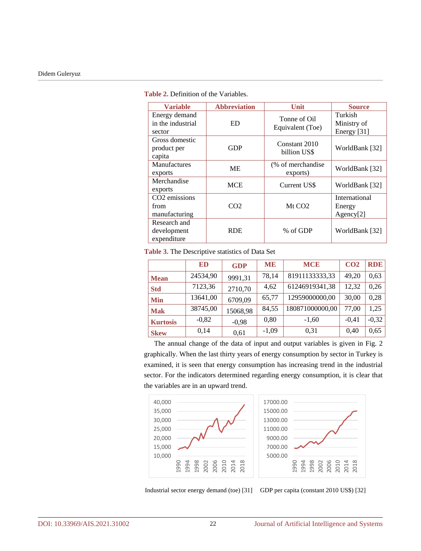| <b>Variable</b>                                    | <b>Abbreviation</b> | Unit                             | <b>Source</b>                         |
|----------------------------------------------------|---------------------|----------------------------------|---------------------------------------|
| Energy demand<br>in the industrial<br>sector       | ED                  | Tonne of Oil<br>Equivalent (Toe) | Turkish<br>Ministry of<br>Energy [31] |
| Gross domestic<br>product per<br>capita            | GDP                 | Constant 2010<br>billion US\$    | WorldBank [32]                        |
| <b>Manufactures</b><br>exports                     | ME                  | (% of merchandise)<br>exports)   | WorldBank [32]                        |
| Merchandise<br>exports                             | <b>MCE</b>          | Current US\$                     | WorldBank [32]                        |
| CO <sub>2</sub> emissions<br>from<br>manufacturing | CO <sub>2</sub>     | Mt CO <sub>2</sub>               | International<br>Energy<br>Agency[2]  |
| Research and<br>development<br>expenditure         | <b>RDE</b>          | % of GDP                         | WorldBank [32]                        |

**Table 3.** The Descriptive statistics of Data Set

|                 | <b>ED</b> | <b>GDP</b> | <b>ME</b> | <b>MCE</b>      | CO <sub>2</sub> | <b>RDE</b> |
|-----------------|-----------|------------|-----------|-----------------|-----------------|------------|
| <b>Mean</b>     | 24534,90  | 9991,31    | 78,14     | 81911133333,33  | 49,20           | 0,63       |
| <b>Std</b>      | 7123,36   | 2710,70    | 4,62      | 61246919341,38  | 12,32           | 0,26       |
| <b>Min</b>      | 13641,00  | 6709,09    | 65,77     | 12959000000,00  | 30,00           | 0,28       |
| <b>Mak</b>      | 38745,00  | 15068,98   | 84,55     | 180871000000,00 | 77,00           | 1,25       |
| <b>Kurtosis</b> | $-0,82$   | $-0,98$    | 0.80      | $-1,60$         | $-0.41$         | $-0,32$    |
| <b>Skew</b>     | 0,14      | 0,61       | $-1,09$   | 0,31            | 0.40            | 0,65       |

The annual change of the data of input and output variables is given in Fig. 2 graphically. When the last thirty years of energy consumption by sector in Turkey is examined, it is seen that energy consumption has increasing trend in the industrial sector. For the indicators determined regarding energy consumption, it is clear that the variables are in an upward trend.



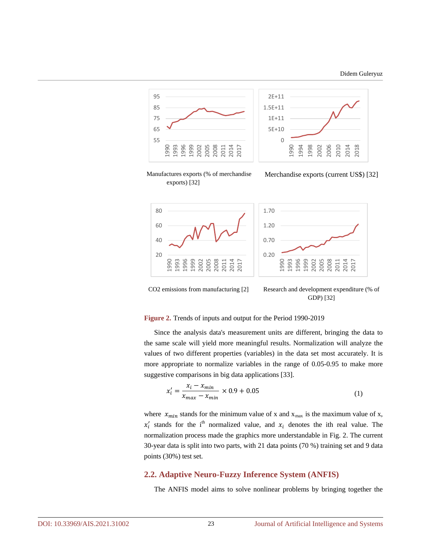

 Manufactures exports (% of merchandise exports) [32]

Merchandise exports (current US\$) [32]



CO2 emissions from manufacturing [2] Research and development expenditure (% of

GDP) [32]

#### **Figure 2.** Trends of inputs and output for the Period 1990-2019

Since the analysis data's measurement units are different, bringing the data to the same scale will yield more meaningful results. Normalization will analyze the values of two different properties (variables) in the data set most accurately. It is more appropriate to normalize variables in the range of 0.05-0.95 to make more suggestive comparisons in big data applications [33].

$$
x_i' = \frac{x_i - x_{min}}{x_{max} - x_{min}} \times 0.9 + 0.05
$$
 (1)

where  $x_{min}$  stands for the minimum value of x and  $x_{max}$  is the maximum value of x,  $x'_i$  stands for the i<sup>th</sup> normalized value, and  $x_i$  denotes the ith real value. The normalization process made the graphics more understandable in Fig. 2. The current 30-year data is split into two parts, with 21 data points (70 %) training set and 9 data points (30%) test set.

#### **2.2. Adaptive Neuro-Fuzzy Inference System (ANFIS)**

The ANFIS model aims to solve nonlinear problems by bringing together the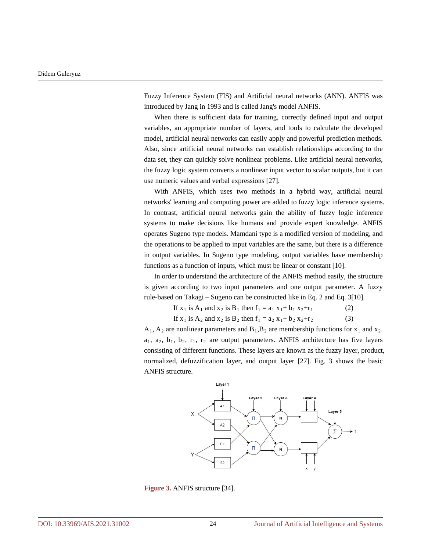Fuzzy Inference System (FIS) and Artificial neural networks (ANN). ANFIS was introduced by Jang in 1993 and is called Jang's model ANFIS.

When there is sufficient data for training, correctly defined input and output variables, an appropriate number of layers, and tools to calculate the developed model, artificial neural networks can easily apply and powerful prediction methods. Also, since artificial neural networks can establish relationships according to the data set, they can quickly solve nonlinear problems. Like artificial neural networks, the fuzzy logic system converts a nonlinear input vector to scalar outputs, but it can use numeric values and verbal expressions [27].

With ANFIS, which uses two methods in a hybrid way, artificial neural networks' learning and computing power are added to fuzzy logic inference systems. In contrast, artificial neural networks gain the ability of fuzzy logic inference systems to make decisions like humans and provide expert knowledge. ANFIS operates Sugeno type models. Mamdani type is a modified version of modeling, and the operations to be applied to input variables are the same, but there is a difference in output variables. In Sugeno type modeling, output variables have membership functions as a function of inputs, which must be linear or constant [10].

In order to understand the architecture of the ANFIS method easily, the structure is given according to two input parameters and one output parameter. A fuzzy rule-based on Takagi – Sugeno can be constructed like in Eq. 2 and Eq. 3[10].

| If $x_1$ is $A_1$ and $x_2$ is $B_1$ then $f_1 = a_1 x_1 + b_1 x_2 + r_1$ | (2) |  |  |
|---------------------------------------------------------------------------|-----|--|--|
|---------------------------------------------------------------------------|-----|--|--|

If  $x_1$  is  $A_2$  and  $x_2$  is  $B_2$  then  $f_1 = a_2 x_1 + b_2 x_2 + r_2$  (3)

 $A_1$ ,  $A_2$  are nonlinear parameters and  $B_1$ ,  $B_2$  are membership functions for  $x_1$  and  $x_2$ .  $a_1$ ,  $a_2$ ,  $b_1$ ,  $b_2$ ,  $r_1$ ,  $r_2$  are output parameters. ANFIS architecture has five layers consisting of different functions. These layers are known as the fuzzy layer, product, normalized, defuzzification layer, and output layer [27]. Fig. 3 shows the basic ANFIS structure.



**Figure 3.** ANFIS structure [34].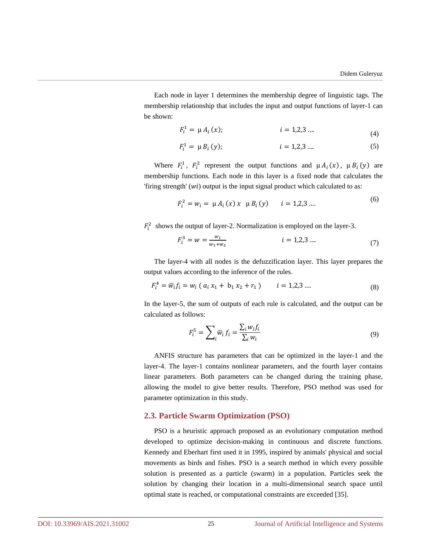Each node in layer 1 determines the membership degree of linguistic tags. The membership relationship that includes the input and output functions of layer-1 can be shown:

$$
F_i^1 = \mu A_i(x); \qquad i = 1, 2, 3 \dots \tag{4}
$$

$$
F_i^1 = \mu B_i(y); \qquad i = 1, 2, 3 \dots \tag{5}
$$

Where  $F_i^1$ ,  $F_i^2$  represent the output functions and  $\mu A_i(x)$ ,  $\mu B_i(y)$  are membership functions. Each node in this layer is a fixed node that calculates the 'firing strength' ( $wi$ ) output is the input signal product which calculated to as:

$$
F_i^2 = w_i = \mu A_i(x) x \mu B_i(y) \qquad i = 1,2,3 \dots \tag{6}
$$

 $F_i^2$  shows the output of layer-2. Normalization is employed on the layer-3.

$$
F_i^3 = w = \frac{w_i}{w_1 + w_2} \qquad i = 1, 2, 3 \dots \tag{7}
$$

The layer-4 with all nodes is the defuzzification layer. This layer prepares the output values according to the inference of the rules.

$$
F_i^4 = \overline{w}_i f_i = w_i (a_i x_1 + b_1 x_2 + r_1) \qquad i = 1, 2, 3 \dots
$$
 (8)

In the layer-5, the sum of outputs of each rule is calculated, and the output can be calculated as follows:

$$
F_i^5 = \sum_i \overline{w}_i f_i = \frac{\sum_i w_i f_i}{\sum_i w_i}
$$
\n(9)

ANFIS structure has parameters that can be optimized in the layer-1 and the layer-4. The layer-1 contains nonlinear parameters, and the fourth layer contains linear parameters. Both parameters can be changed during the training phase, allowing the model to give better results. Therefore, PSO method was used for parameter optimization in this study.

#### **2.3. Particle Swarm Optimization (PSO)**

PSO is a heuristic approach proposed as an evolutionary computation method developed to optimize decision-making in continuous and discrete functions. Kennedy and Eberhart first used it in 1995, inspired by animals' physical and social movements as birds and fishes. PSO is a search method in which every possible solution is presented as a particle (swarm) in a population. Particles seek the solution by changing their location in a multi-dimensional search space until optimal state is reached, or computational constraints are exceeded [35].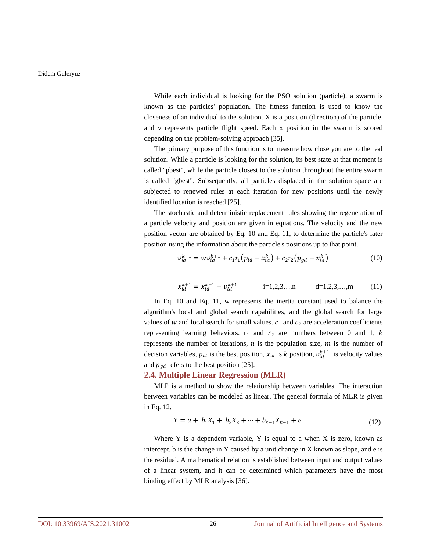While each individual is looking for the PSO solution (particle), a swarm is known as the particles' population. The fitness function is used to know the closeness of an individual to the solution. X is a position (direction) of the particle, and v represents particle flight speed. Each x position in the swarm is scored depending on the problem-solving approach [35].

The primary purpose of this function is to measure how close you are to the real solution. While a particle is looking for the solution, its best state at that moment is called "pbest", while the particle closest to the solution throughout the entire swarm is called "gbest". Subsequently, all particles displaced in the solution space are subjected to renewed rules at each iteration for new positions until the newly identified location is reached [25].

The stochastic and deterministic replacement rules showing the regeneration of a particle velocity and position are given in equations. The velocity and the new position vector are obtained by Eq. 10 and Eq. 11, to determine the particle's later position using the information about the particle's positions up to that point.

$$
v_{id}^{k+1} = w v_{id}^{k+1} + c_1 r_1 (p_{id} - x_{id}^k) + c_2 r_2 (p_{gd} - x_{id}^k)
$$
(10)

$$
x_{id}^{k+1} = x_{id}^{k+1} + v_{id}^{k+1} \qquad \qquad i=1,2,3...,n \qquad d=1,2,3,...,m \qquad (11)
$$

In Eq. 10 and Eq. 11, w represents the inertia constant used to balance the algorithm's local and global search capabilities, and the global search for large values of w and local search for small values.  $c_1$  and  $c_2$  are acceleration coefficients representing learning behaviors.  $r_1$  and  $r_2$  are numbers between 0 and 1, k represents the number of iterations,  $n$  is the population size,  $m$  is the number of decision variables,  $p_{id}$  is the best position,  $x_{id}$  is k position,  $v_{id}^{k+1}$  is velocity values and  $p_{gd}$  refers to the best position [25].

#### **2.4. Multiple Linear Regression (MLR)**

MLP is a method to show the relationship between variables. The interaction between variables can be modeled as linear. The general formula of MLR is given in Eq. 12.

$$
Y = a + b_1 X_1 + b_2 X_2 + \dots + b_{k-1} X_{k-1} + e
$$
\n(12)

Where Y is a dependent variable, Y is equal to a when X is zero, known as intercept. b is the change in Y caused by a unit change in X known as slope, and e is the residual. A mathematical relation is established between input and output values of a linear system, and it can be determined which parameters have the most binding effect by MLR analysis [36].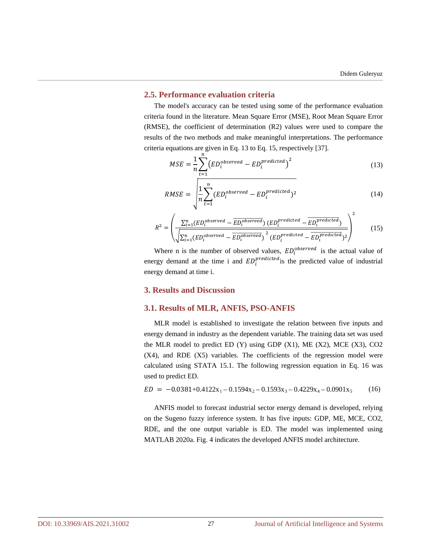## **2.5. Performance evaluation criteria**

The model's accuracy can be tested using some of the performance evaluation criteria found in the literature. Mean Square Error (MSE), Root Mean Square Error (RMSE), the coefficient of determination (R2) values were used to compare the results of the two methods and make meaningful interpretations. The performance criteria equations are given in Eq. 13 to Eq. 15, respectively [37].

$$
MSE = \frac{1}{n} \sum_{t=1}^{n} \left( ED_i^{observed} - ED_i^{predicted} \right)^2 \tag{13}
$$

$$
RMSE = \sqrt{\frac{1}{n} \sum_{t=1}^{n} (ED_i^{observed} - ED_i^{predicted})^2}
$$
 (14)

$$
R^{2} = \left(\frac{\sum_{i=1}^{n} (ED_{i}^{observed} - \overline{ED_{i}^{observed}}) (ED_{i}^{predicted} - \overline{ED_{i}^{predicted}})}{\sqrt{\sum_{i=1}^{n} (ED_{i}^{observed} - \overline{ED_{i}^{observed}})}^{2} (ED_{i}^{predicted} - \overline{ED_{i}^{predicted}})^{2}}\right)^{2}
$$
(15)

Where n is the number of observed values,  $ED_i^{observed}$  is the actual value of energy demand at the time i and  $ED_i^{preducted}$  is the predicted value of industrial energy demand at time i.

#### **3. Results and Discussion**

#### **3.1. Results of MLR, ANFIS, PSO-ANFIS**

MLR model is established to investigate the relation between five inputs and energy demand in industry as the dependent variable. The training data set was used the MLR model to predict ED  $(Y)$  using GDP  $(X1)$ , ME  $(X2)$ , MCE  $(X3)$ , CO2 (X4), and RDE (X5) variables. The coefficients of the regression model were calculated using STATA 15.1. The following regression equation in Eq. 16 was used to predict ED.

$$
ED = -0.0381 + 0.4122x_1 - 0.1594x_2 - 0.1593x_3 - 0.4229x_4 - 0.0901x_5 \tag{16}
$$

ANFIS model to forecast industrial sector energy demand is developed, relying on the Sugeno fuzzy inference system. It has five inputs: GDP, ME, MCE, CO2, RDE, and the one output variable is ED. The model was implemented using MATLAB 2020a. Fig. 4 indicates the developed ANFIS model architecture.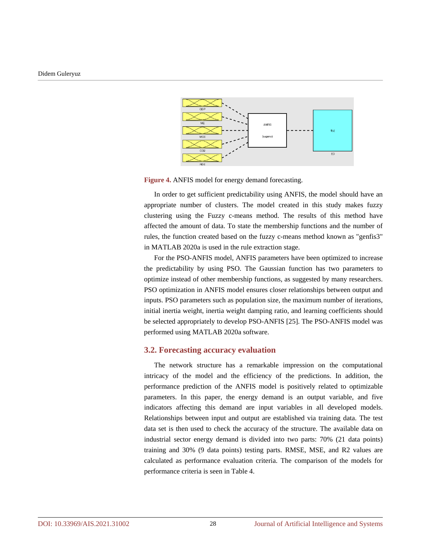

**Figure 4.** ANFIS model for energy demand forecasting.

In order to get sufficient predictability using ANFIS, the model should have an appropriate number of clusters. The model created in this study makes fuzzy clustering using the Fuzzy c-means method. The results of this method have affected the amount of data. To state the membership functions and the number of rules, the function created based on the fuzzy c-means method known as "genfis3" in MATLAB 2020a is used in the rule extraction stage.

For the PSO-ANFIS model, ANFIS parameters have been optimized to increase the predictability by using PSO. The Gaussian function has two parameters to optimize instead of other membership functions, as suggested by many researchers. PSO optimization in ANFIS model ensures closer relationships between output and inputs. PSO parameters such as population size, the maximum number of iterations, initial inertia weight, inertia weight damping ratio, and learning coefficients should be selected appropriately to develop PSO-ANFIS [25]. The PSO-ANFIS model was performed using MATLAB 2020a software.

## **3.2. Forecasting accuracy evaluation**

The network structure has a remarkable impression on the computational intricacy of the model and the efficiency of the predictions. In addition, the performance prediction of the ANFIS model is positively related to optimizable parameters. In this paper, the energy demand is an output variable, and five indicators affecting this demand are input variables in all developed models. Relationships between input and output are established via training data. The test data set is then used to check the accuracy of the structure. The available data on industrial sector energy demand is divided into two parts: 70% (21 data points) training and 30% (9 data points) testing parts. RMSE, MSE, and R2 values are calculated as performance evaluation criteria. The comparison of the models for performance criteria is seen in Table 4.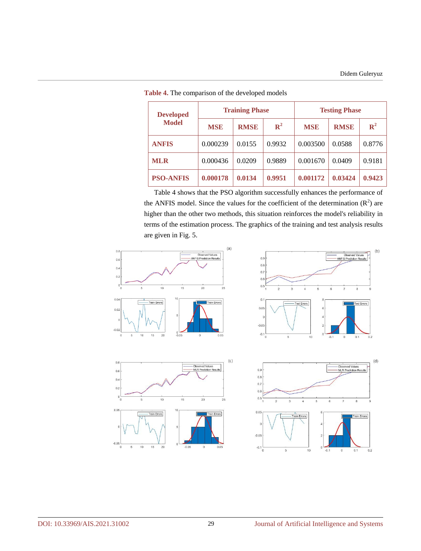| <b>Developed</b><br><b>Model</b> | <b>Training Phase</b> |             |                | <b>Testing Phase</b> |             |                |
|----------------------------------|-----------------------|-------------|----------------|----------------------|-------------|----------------|
|                                  | <b>MSE</b>            | <b>RMSE</b> | $\mathbb{R}^2$ | <b>MSE</b>           | <b>RMSE</b> | $\mathbf{R}^2$ |
| <b>ANFIS</b>                     | 0.000239              | 0.0155      | 0.9932         | 0.003500             | 0.0588      | 0.8776         |
| <b>MLR</b>                       | 0.000436              | 0.0209      | 0.9889         | 0.001670             | 0.0409      | 0.9181         |
| <b>PSO-ANFIS</b>                 | 0.000178              | 0.0134      | 0.9951         | 0.001172             | 0.03424     | 0.9423         |

**Table 4.** The comparison of the developed models

Table 4 shows that the PSO algorithm successfully enhances the performance of the ANFIS model. Since the values for the coefficient of the determination  $(R^2)$  are higher than the other two methods, this situation reinforces the model's reliability in terms of the estimation process. The graphics of the training and test analysis results are given in Fig. 5.

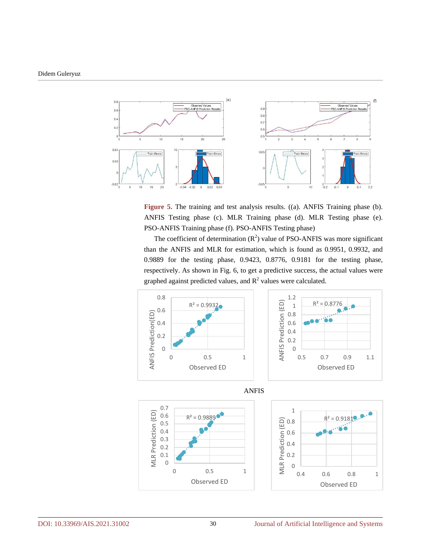

**Figure 5.** The training and test analysis results. ((a). ANFIS Training phase (b). ANFIS Testing phase (c). MLR Training phase (d). MLR Testing phase (e). PSO-ANFIS Training phase (f). PSO-ANFIS Testing phase)

The coefficient of determination  $(R^2)$  value of PSO-ANFIS was more significant than the ANFIS and MLR for estimation, which is found as 0.9951, 0.9932, and 0.9889 for the testing phase, 0.9423, 0.8776, 0.9181 for the testing phase, respectively. As shown in Fig. 6, to get a predictive success, the actual values were graphed against predicted values, and  $R^2$  values were calculated.





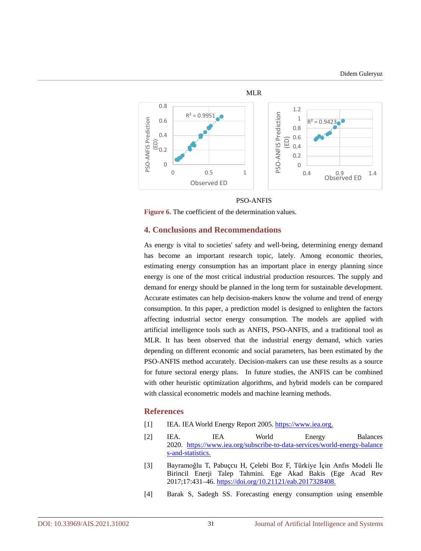

PSO-ANFIS

Figure **6.** The coefficient of the determination values.

#### **4. Conclusions and Recommendations**

As energy is vital to societies' safety and well-being, determining energy demand has become an important research topic, lately. Among economic theories, estimating energy consumption has an important place in energy planning since energy is one of the most critical industrial production resources. The supply and demand for energy should be planned in the long term for sustainable development. Accurate estimates can help decision-makers know the volume and trend of energy consumption. In this paper, a prediction model is designed to enlighten the factors affecting industrial sector energy consumption. The models are applied with artificial intelligence tools such as ANFIS, PSO-ANFIS, and a traditional tool as MLR. It has been observed that the industrial energy demand, which varies depending on different economic and social parameters, has been estimated by the PSO-ANFIS method accurately. Decision-makers can use these results as a source for future sectoral energy plans. In future studies, the ANFIS can be combined with other heuristic optimization algorithms, and hybrid models can be compared with classical econometric models and machine learning methods.

## **References**

- [1] IEA. IEA World Energy Report 2005. https://www.iea.org.
- [2] IEA. IEA World Energy Balances 2020. https://www.iea.org/subscribe-to-data-services/world-energy-balance s-and-statistics.
- [3] Bayramoğlu T, Pabuçcu H, Çelebi Boz F, Türkiye İçin Anfıs Modeli İle Birincil Enerji Talep Tahmini. Ege Akad Bakis (Ege Acad Rev 2017;17:431–46. https://doi.org/10.21121/eab.2017328408.
- [4] Barak S, Sadegh SS. Forecasting energy consumption using ensemble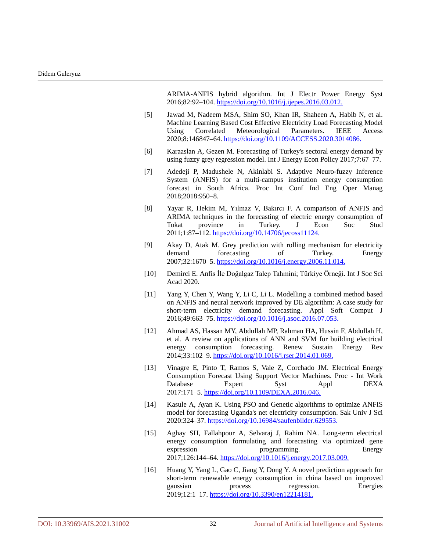ARIMA-ANFIS hybrid algorithm. Int J Electr Power Energy Syst 2016;82:92–104. https://doi.org/10.1016/j.ijepes.2016.03.012.

- [5] Jawad M, Nadeem MSA, Shim SO, Khan IR, Shaheen A, Habib N, et al. Machine Learning Based Cost Effective Electricity Load Forecasting Model<br>Using Correlated Meteorological Parameters. IEEE Access Using Correlated Meteorological Parameters. IEEE Access 2020;8:146847–64. https://doi.org/10.1109/ACCESS.2020.3014086.
- [6] Karaaslan A, Gezen M. Forecasting of Turkey's sectoral energy demand by using fuzzy grey regression model. Int J Energy Econ Policy 2017;7:67–77.
- [7] Adedeji P, Madushele N, Akinlabi S. Adaptive Neuro-fuzzy Inference System (ANFIS) for a multi-campus institution energy consumption forecast in South Africa. Proc Int Conf Ind Eng Oper Manag 2018;2018:950–8.
- [8] Yayar R, Hekim M, Yılmaz V, Bakırcı F. A comparison of ANFIS and ARIMA techniques in the forecasting of electric energy consumption of Tokat province in Turkey. J Econ Soc Stud 2011;1:87–112. https://doi.org/10.14706/jecoss11124.
- [9] Akay D, Atak M. Grey prediction with rolling mechanism for electricity demand forecasting of Turkey. Energy 2007;32:1670–5. https://doi.org/10.1016/j.energy.2006.11.014.
- [10] Demirci E. Anfis İle Doğalgaz Talep Tahmini; Türkiye Örneği. Int J Soc Sci Acad 2020.
- [11] Yang Y, Chen Y, Wang Y, Li C, Li L. Modelling a combined method based on ANFIS and neural network improved by DE algorithm: A case study for short-term electricity demand forecasting. Appl Soft Comput J 2016;49:663–75. https://doi.org/10.1016/j.asoc.2016.07.053.
- [12] Ahmad AS, Hassan MY, Abdullah MP, Rahman HA, Hussin F, Abdullah H, et al. A review on applications of ANN and SVM for building electrical energy consumption forecasting. Renew Sustain Energy Rev 2014;33:102–9. https://doi.org/10.1016/j.rser.2014.01.069.
- [13] Vinagre E, Pinto T, Ramos S, Vale Z, Corchado JM. Electrical Energy Consumption Forecast Using Support Vector Machines. Proc - Int Work Database Expert Syst Appl DEXA 2017:171–5. https://doi.org/10.1109/DEXA.2016.046.
- [14] Kasule A, Ayan K. Using PSO and Genetic algorithms to optimize ANFIS model for forecasting Uganda's net electricity consumption. Sak Univ J Sci 2020:324–37. https://doi.org/10.16984/saufenbilder.629553.
- [15] Aghay SH, Fallahpour A, Selvaraj J, Rahim NA. Long-term electrical energy consumption formulating and forecasting via optimized gene expression programming. Energy 2017;126:144–64. https://doi.org/10.1016/j.energy.2017.03.009.
- [16] Huang Y, Yang L, Gao C, Jiang Y, Dong Y. A novel prediction approach for short-term renewable energy consumption in china based on improved gaussian process regression. Energies 2019;12:1–17. https://doi.org/10.3390/en12214181.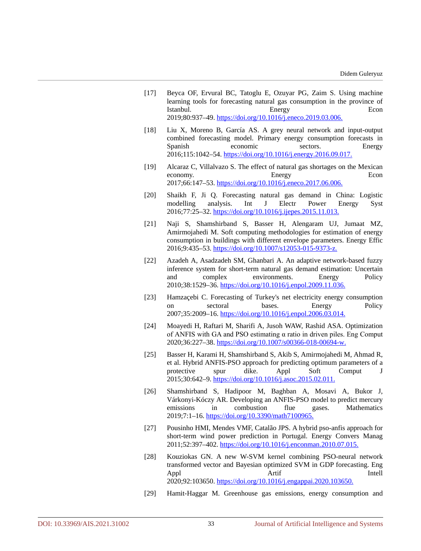- [17] Beyca OF, Ervural BC, Tatoglu E, Ozuyar PG, Zaim S. Using machine learning tools for forecasting natural gas consumption in the province of Istanbul. Energy Econ 2019;80:937–49. https://doi.org/10.1016/j.eneco.2019.03.006.
- [18] Liu X, Moreno B, García AS. A grey neural network and input-output combined forecasting model. Primary energy consumption forecasts in Spanish economic sectors. Energy 2016;115:1042–54. https://doi.org/10.1016/j.energy.2016.09.017.
- [19] Alcaraz C, Villalvazo S. The effect of natural gas shortages on the Mexican economy. Energy Economy. Energy Economy. 2017;66:147–53. https://doi.org/10.1016/j.eneco.2017.06.006.
- [20] Shaikh F, Ji Q. Forecasting natural gas demand in China: Logistic modelling analysis. Int J Electr Power Energy Syst 2016;77:25–32. https://doi.org/10.1016/j.ijepes.2015.11.013.
- [21] Naji S, Shamshirband S, Basser H, Alengaram UJ, Jumaat MZ, Amirmojahedi M. Soft computing methodologies for estimation of energy consumption in buildings with different envelope parameters. Energy Effic 2016;9:435–53. https://doi.org/10.1007/s12053-015-9373-z.
- [22] Azadeh A, Asadzadeh SM, Ghanbari A. An adaptive network-based fuzzy inference system for short-term natural gas demand estimation: Uncertain and complex environments. Energy Policy 2010;38:1529–36. https://doi.org/10.1016/j.enpol.2009.11.036.
- [23] Hamzaçebi C. Forecasting of Turkey's net electricity energy consumption on sectoral bases. Energy Policy 2007;35:2009–16. https://doi.org/10.1016/j.enpol.2006.03.014.
- [24] Moayedi H, Raftari M, Sharifi A, Jusoh WAW, Rashid ASA. Optimization of ANFIS with GA and PSO estimating α ratio in driven piles. Eng Comput 2020;36:227–38. https://doi.org/10.1007/s00366-018-00694-w.
- [25] Basser H, Karami H, Shamshirband S, Akib S, Amirmojahedi M, Ahmad R, et al. Hybrid ANFIS-PSO approach for predicting optimum parameters of a protective spur dike. Appl Soft Comput J 2015;30:642–9. https://doi.org/10.1016/j.asoc.2015.02.011.
- [26] Shamshirband S, Hadipoor M, Baghban A, Mosavi A, Bukor J, Várkonyi-Kóczy AR. Developing an ANFIS-PSO model to predict mercury emissions in combustion flue gases. Mathematics 2019;7:1–16. https://doi.org/10.3390/math7100965.
- [27] Pousinho HMI, Mendes VMF, Catalão JPS. A hybrid pso-anfis approach for short-term wind power prediction in Portugal. Energy Convers Manag 2011;52:397–402. https://doi.org/10.1016/j.enconman.2010.07.015.
- [28] Kouziokas GN. A new W-SVM kernel combining PSO-neural network transformed vector and Bayesian optimized SVM in GDP forecasting. Eng Appl Artif Artif Intell 2020;92:103650. https://doi.org/10.1016/j.engappai.2020.103650.
- [29] Hamit-Haggar M. Greenhouse gas emissions, energy consumption and